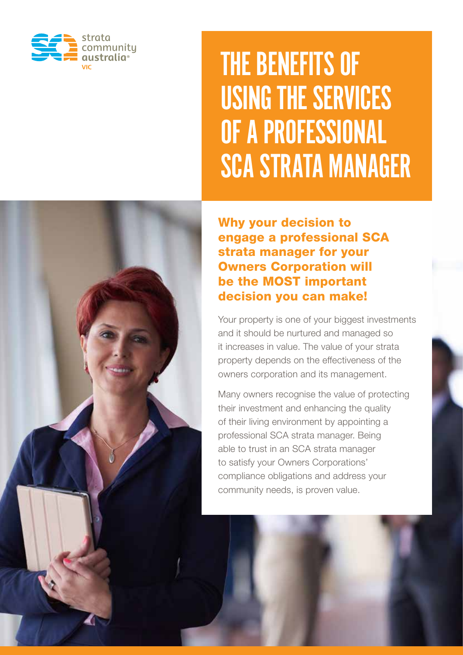

# THE BENEFITS OF USING THE SERVICES OF A PROFESSIONAL SCA STRATA MANAGER

Why your decision to engage a professional SCA strata manager for your Owners Corporation will be the MOST important decision you can make!

Your property is one of your biggest investments and it should be nurtured and managed so it increases in value. The value of your strata property depends on the effectiveness of the owners corporation and its management.

Many owners recognise the value of protecting their investment and enhancing the quality of their living environment by appointing a professional SCA strata manager. Being able to trust in an SCA strata manager to satisfy your Owners Corporations' compliance obligations and address your community needs, is proven value.

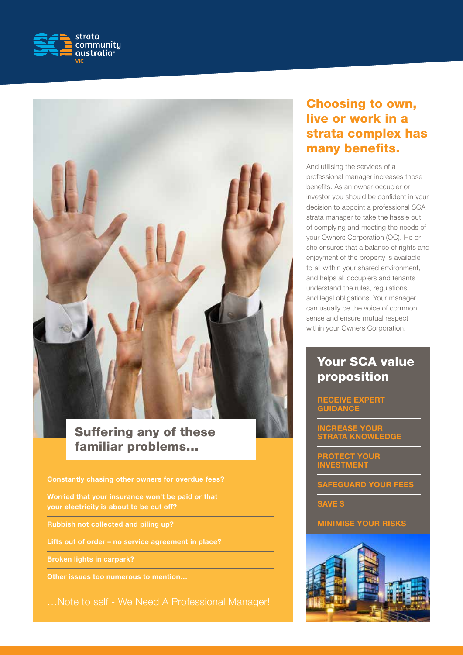



## Suffering any of these familiar problems…

Constantly chasing other owners for overdue fees?

Worried that your insurance won't be paid or that your electricity is about to be cut off?

Rubbish not collected and piling up?

Lifts out of order – no service agreement in place?

Broken lights in carpark?

Other issues too numerous to mention…

…Note to self - We Need A Professional Manager!

## Choosing to own, live or work in a strata complex has many benefits.

And utilising the services of a professional manager increases those benefits. As an owner-occupier or investor you should be confident in your decision to appoint a professional SCA strata manager to take the hassle out of complying and meeting the needs of your Owners Corporation (OC). He or she ensures that a balance of rights and enjoyment of the property is available to all within your shared environment, and helps all occupiers and tenants understand the rules, regulations and legal obligations. Your manager can usually be the voice of common sense and ensure mutual respect within your Owners Corporation.

## Your SCA value proposition

#### RECEIVE EXPERT **GUIDANCE**

INCREASE YOUR STRATA KNOWLEDGE

PROTECT YOUR INVESTMENT

SAFEGUARD YOUR FEES

SAVE \$

MINIMISE YOUR RISKS

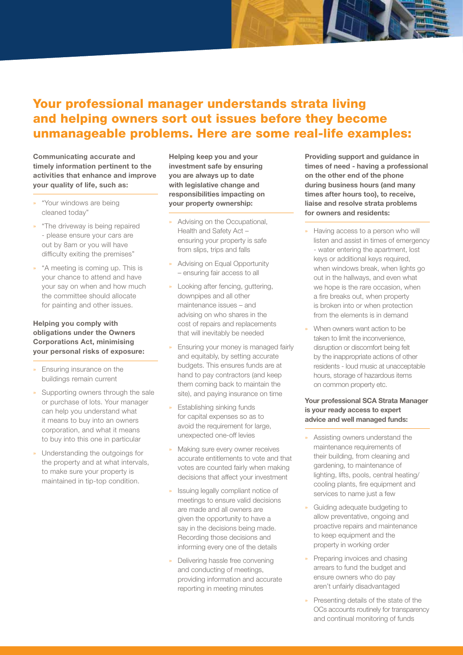## Your professional manager understands strata living and helping owners sort out issues before they become unmanageable problems. Here are some real-life examples:

Communicating accurate and timely information pertinent to the activities that enhance and improve your quality of life, such as:

- » "Your windows are being cleaned today"
- » "The driveway is being repaired - please ensure your cars are out by 8am or you will have difficulty exiting the premises"
- » "A meeting is coming up. This is your chance to attend and have your say on when and how much the committee should allocate for painting and other issues.

#### Helping you comply with obligations under the Owners Corporations Act, minimising your personal risks of exposure:

- » Ensuring insurance on the buildings remain current
- Supporting owners through the sale or purchase of lots. Your manager can help you understand what it means to buy into an owners corporation, and what it means to buy into this one in particular
- » Understanding the outgoings for the property and at what intervals, to make sure your property is maintained in tip-top condition.

Helping keep you and your investment safe by ensuring you are always up to date with legislative change and responsibilities impacting on your property ownership:

- » Advising on the Occupational, Health and Safety Act – ensuring your property is safe from slips, trips and falls
- » Advising on Equal Opportunity – ensuring fair access to all
- » Looking after fencing, guttering, downpipes and all other maintenance issues – and advising on who shares in the cost of repairs and replacements that will inevitably be needed
- » Ensuring your money is managed fairly and equitably, by setting accurate budgets. This ensures funds are at hand to pay contractors (and keep them coming back to maintain the site), and paying insurance on time
- » Establishing sinking funds for capital expenses so as to avoid the requirement for large, unexpected one-off levies
- » Making sure every owner receives accurate entitlements to vote and that votes are counted fairly when making decisions that affect your investment
- Issuing legally compliant notice of meetings to ensure valid decisions are made and all owners are given the opportunity to have a say in the decisions being made. Recording those decisions and informing every one of the details
- » Delivering hassle free convening and conducting of meetings, providing information and accurate reporting in meeting minutes

Providing support and guidance in times of need - having a professional on the other end of the phone during business hours (and many times after hours too), to receive, liaise and resolve strata problems for owners and residents:

- » Having access to a person who will listen and assist in times of emergency - water entering the apartment, lost keys or additional keys required, when windows break, when lights go out in the hallways, and even what we hope is the rare occasion, when a fire breaks out, when property is broken into or when protection from the elements is in demand
- When owners want action to be taken to limit the inconvenience, disruption or discomfort being felt by the inappropriate actions of other residents - loud music at unacceptable hours, storage of hazardous items on common property etc.

#### Your professional SCA Strata Manager is your ready access to expert advice and well managed funds:

- » Assisting owners understand the maintenance requirements of their building, from cleaning and gardening, to maintenance of lighting, lifts, pools, central heating/ cooling plants, fire equipment and services to name just a few
- » Guiding adequate budgeting to allow preventative, ongoing and proactive repairs and maintenance to keep equipment and the property in working order
- » Preparing invoices and chasing arrears to fund the budget and ensure owners who do pay aren't unfairly disadvantaged
- » Presenting details of the state of the OCs accounts routinely for transparency and continual monitoring of funds